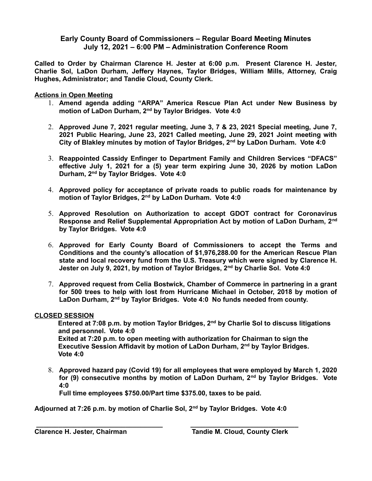## **Early County Board of Commissioners – Regular Board Meeting Minutes July 12, 2021 – 6:00 PM – Administration Conference Room**

**Called to Order by Chairman Clarence H. Jester at 6:00 p.m. Present Clarence H. Jester, Charlie Sol, LaDon Durham, Jeffery Haynes, Taylor Bridges, William Mills, Attorney, Craig Hughes, Administrator; and Tandie Cloud, County Clerk.** 

### **Actions in Open Meeting**

- 1. **Amend agenda adding "ARPA" America Rescue Plan Act under New Business by motion of LaDon Durham, 2nd by Taylor Bridges. Vote 4:0**
- 2. **Approved June 7, 2021 regular meeting, June 3, 7 & 23, 2021 Special meeting, June 7, 2021 Public Hearing, June 23, 2021 Called meeting, June 29, 2021 Joint meeting with City of Blakley minutes by motion of Taylor Bridges, 2nd by LaDon Durham. Vote 4:0**
- 3. **Reappointed Cassidy Enfinger to Department Family and Children Services "DFACS" effective July 1, 2021 for a (5) year term expiring June 30, 2026 by motion LaDon Durham, 2nd by Taylor Bridges. Vote 4:0**
- 4. **Approved policy for acceptance of private roads to public roads for maintenance by motion of Taylor Bridges, 2nd by LaDon Durham. Vote 4:0**
- 5. **Approved Resolution on Authorization to accept GDOT contract for Coronavirus Response and Relief Supplemental Appropriation Act by motion of LaDon Durham, 2nd by Taylor Bridges. Vote 4:0**
- 6. **Approved for Early County Board of Commissioners to accept the Terms and Conditions and the county's allocation of \$1,976,288.00 for the American Rescue Plan state and local recovery fund from the U.S. Treasury which were signed by Clarence H. Jester on July 9, 2021, by motion of Taylor Bridges, 2nd by Charlie Sol. Vote 4:0**
- 7. **Approved request from Celia Bostwick, Chamber of Commerce in partnering in a grant for 500 trees to help with lost from Hurricane Michael in October, 2018 by motion of LaDon Durham, 2nd by Taylor Bridges. Vote 4:0 No funds needed from county.**

#### **CLOSED SESSION**

**Entered at 7:08 p.m. by motion Taylor Bridges, 2nd by Charlie Sol to discuss litigations and personnel. Vote 4:0 Exited at 7:20 p.m. to open meeting with authorization for Chairman to sign the Executive Session Affidavit by motion of LaDon Durham, 2nd by Taylor Bridges. Vote 4:0** 

8. **Approved hazard pay (Covid 19) for all employees that were employed by March 1, 2020 for (9) consecutive months by motion of LaDon Durham, 2nd by Taylor Bridges. Vote 4:0**

**Full time employees \$750.00/Part time \$375.00, taxes to be paid.**

**Adjourned at 7:26 p.m. by motion of Charlie Sol, 2nd by Taylor Bridges. Vote 4:0**

 **\_\_\_\_\_\_\_\_\_\_\_\_\_\_\_\_\_\_\_\_\_\_\_\_\_\_\_\_\_\_\_\_\_\_ \_\_\_\_\_\_\_\_\_\_\_\_\_\_\_\_\_\_\_\_\_\_\_\_\_\_\_\_\_**